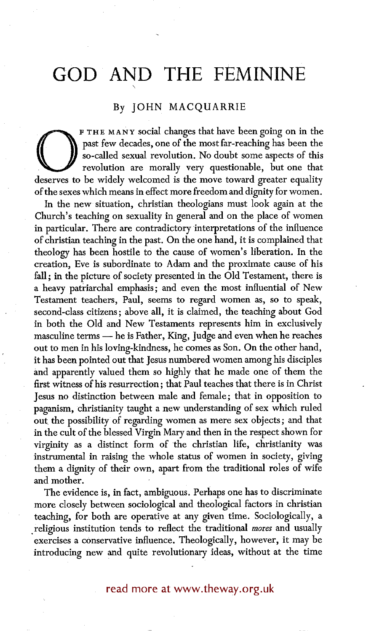## **GOD AND THE FEMININE**

\,

## By JOHN MACQUARRIE

past few decades, one of the most far-reaching has been the<br>so-called sexual revolution. No doubt some aspects of this<br>revolution are morally very questionable, but one that<br>deserves to be widely welcomed is the move towar F THE MANY social changes that have been going on in the past few decades, one of the most far-reaching has been the so-called sexual revolution. No doubt some aspects of this revolution are morally very questionable, but one that of the sexes which means in effect more freedom and dignity for women.

In the new situation, christian theologians must look again at the Church's teaching on sexuality in general and on the place of women in particular. There are contradictory interpretations of the influence of christian teaching in the past. On the one hand, it is complained that theology has been hostile to the cause of women's liberation. In the creation, Eve is subordinate to Adam and the proximate cause of his fall; in the picture of society presented in the Old Testament, there is a heavy patriarchal emphasis; and even the most influential of New Testament teachers, Paul, seems to regard women as, so to speak, second-class citizens; above all, it is claimed, the teaching about God in both the Old and New Testaments represents him in exclusively masculine terms -- he is Father, King, Judge and even when he reaches out to men in his loving-kindness, he comes as Son. On the other hand, it has been pointed out that Jesus numbered women among his disciples and apparently valued them so highly that he made one of them the first witness of his resurrection; that Paul teaches that there is in Christ Jesus no distinction between male and female; that in opposition to paganism, christianity taught a new understanding of sex which ruled out the possibility of regarding women as mere sex objects; and that in the cult of the blessed Virgin Mary and then in the respect shown for virginity as a distinct form of the christian life, christianity was instrumental in raising the whole status of women in society, giving them a dignity of their own, apart from the traditional roles of wife and mother.

The evidence is, in fact, ambiguous. Perhaps one has to discriminate more closely between sociological and theological factors in christian teaching, for both are operative at any given time. Sociologically, a .religious institution tends to reflect the traditional *mores* and usually exercises a conservative influence. Theologically, however, it may be introducing new and quite revolutionary ideas, without at the time

## read more at www.theway.org.uk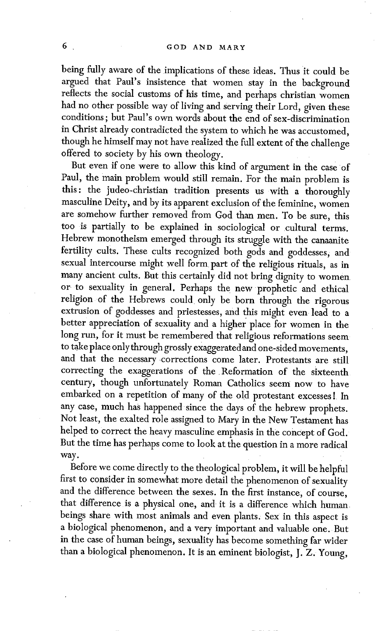being fully aware of the implications of these ideas. Thus it could be argued that Paul's insistence that women stay in the background reflects the social customs of his time, and perhaps christian women had no other possible way of living and serving their Lord, given these conditions; but Paul's own words about the end of sex-discrimination in Christ already contradicted the system to which he was accustomed, though he himself may not have realized the full extent of the challenge offered to society by his own theology.

But even if one were to allow this kind of argument in the case of Paul, the main problem would still remain. For the main problem is this: the judeo-christian tradition presents us with a thoroughly masculine Deity, and by its apparent exclusion of the feminine, women are somehow further removed from God than men. To be sure, this too is partially to be explained in sociological or cultural terms. Hebrew monotheism emerged through its struggle with the canaanite fertility cults. These cults recognized both gods and goddesses, and sexual intercourse might well form part of the religious rituals, as in many ancient cults. But this certainly did not bring dignity to women or to sexuality in general. Perhaps the new prophetic and ethical religion of the Hebrews could only be born through the rigorous extrusion of goddesses and priestesses, and this might even lead to a better appreciation of sexuality and a higher place for women in the long run, for it must be remembered that religious reformations seem to take place only through grossly exaggerated and one-sided movements, and that the necessary corrections come later. Protestants are still correcting the exaggerations of the Reformation of the sixteenth century, though unfortunately Roman Catholics seem now to have embarked on a repetition of many of the old protestant excesses ! In any case, much has happened since the days of the hebrew prophets. Not least, the exalted role assigned to Mary in the New Testament has helped to correct the heavy masculine emphasis in the concept of God. But the time has perhaps come to look at the question in a more radical way.

Before we come directly to the theological problem, it will be helpful first to consider in somewhat more detail the phenomenon of sexuality and the difference between the sexes. In the first instance, of course, that difference is a physical one, and it is a difference which human. beings share with most animals and even plants; Sex in this aspect is a biological phenomenon, and a very important and valuable one. But in the case of human beings, sexuality has become something far wider than a biological phenomenon. It is an eminent biologist, J. z. Young,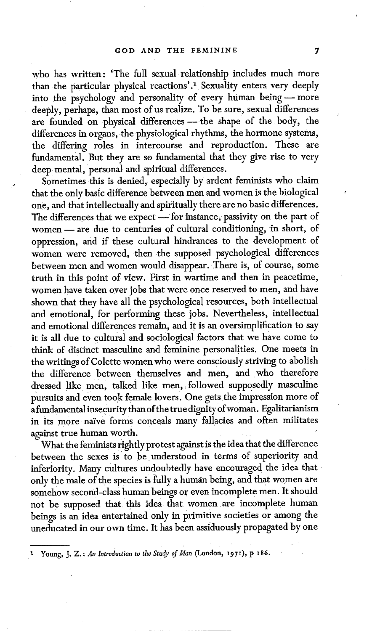who has written: 'The full sexual relationship includes much more than the particular physical reactions'.<sup>1</sup> Sexuality enters very deeply into the psychology and personality of every human being - more deeply, perhaps, than most of us realize. To be sure, sexual differences are founded on physical differences - the shape of the body, the differences in organs, the physiological rhythms, the hormone systems, the differing roles in intercourse and reproduction. These are fundamental. But they are so fundamental that they give rise to very deep mental, personal and spiritual differences.

Sometimes this is denied, especially by ardent feminists who claim that the only basic difference between men and women is the biological one, and that intellectually and spiritually there are no basic differences. The differences that we expect -- for instance, passivity on the part of women - are due to centuries of cultural conditioning, in short, of oppression, and if these cultural hindrances to the development of women were removed, then the supposed psychological differences between men and women would disappear. There is, of course, some truth in this point of view. First in wartime and then in peacetime, women have taken over jobs that were once reserved to men, and have shown that they have all the psychological resources, both intellectual and emotional, for performing these jobs. Nevertheless, intellectual and emotional differences remain, and it is an oversimplification to say it is all due to cultural and sociological factors that we have come to think of distinct masculine and feminine personalities. One meets in the writings of Colette women who were consciously striving to abolish the difference between themselves and men, and who therefore dressed like men, talked like men, followed supposedly masculine pursuits and even took female lovers. One gets the impression more of a ftmdamental insecurity than of the true dignity of woman. Egalitarianism in its more naive forms conceals many fallacies and often militates against true human worth.

What the feminists rightly protest against is the idea that the difference between the sexes is to be understood in terms of superiority and inferiority. Many cultures undoubtedly have encouraged the idea that only the male of the species is fully a human being, and that women are somehow second-class human beings or even incomplete men. It should not be supposed that this idea that women are incomplete human beings is an idea entertained only in primitive societies or among the uneducated in our own time. It has been assiduously propagated by one

t Young, J. Z.: *An Introduction to the Study of Man* (London, 197I), p x86.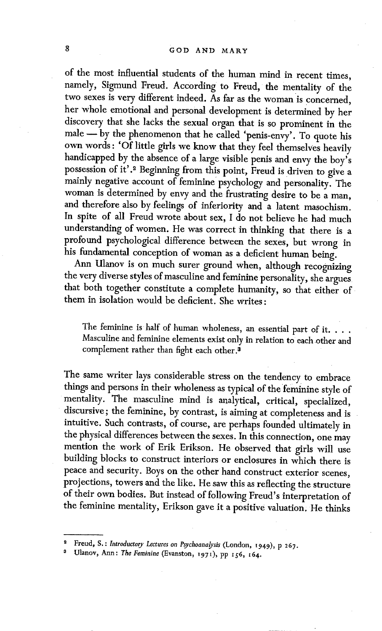of the most influential students of the human mind in recent times, namely, Sigmund Freud. According to Freud, the mentality of the two sexes is very different indeed. As far as the woman is concerned, her whole emotional and personal development is determined by her discovery that she lacks the sexual organ that is so prominent in the male -- by the phenomenon that he called 'penis-envy'. To quote his own words : 'Of little girls we know that they feel themselves heavily handicapped by the absence of a large visible penis and envy the boy's possession of it'.<sup>2</sup> Beginning from this point, Freud is driven to give a mainly negative account of feminine psychology and personality. The woman is determined by envy and the frustrating desire to be a man, and therefore also by feelings of inferiority and a latent masochism. In spite of all Freud wrote about sex, I do not believe he had much understanding of women. He was correct in thinking that there is a profound psychological difference between the sexes, but wrong in his fundamental conception of woman as a deficient human being.

Ann Ulanov is on much surer ground when, although recognizing the very diverse styles of masculine and feminine personality, she argues that both together constitute a complete humanity, so that either of them in isolation would be deficient. She writes:

The feminine is half of human wholeness, an essential part of it. . . . Masculine and feminine elements exist only in relation to each other and complement rather than fight each other.<sup>3</sup>

The same writer lays considerable stress on the tendency to embrace things and persons in their wholeness as typical of the feminine style of mentality. The masculine mind is analytical, critical, specialized, discursive; the feminine, by contrast, is aiming at completeness and is intuitive. Such contrasts, of course, are perhaps founded ultimately in the physical differences between the sexes. In this connection, one may mention the work of Erik Erikson. He observed that girls will use building blocks to construct interiors or enclosures in which there is peace and security. Boys on the other hand construct exterior scenes, projections, towers and the like. He saw this as reflecting the structure of their own bodies. But instead of following Freud's interpretation of the feminine mentality, Erikson gave it a positive valuation. He thinks

Freud, S.: *Introductory Lectures on Psychoanalysis* (London, 1949), p 267.

Ulanov, Ann: The Feminine (Evanston, 1971), pp 156, 164.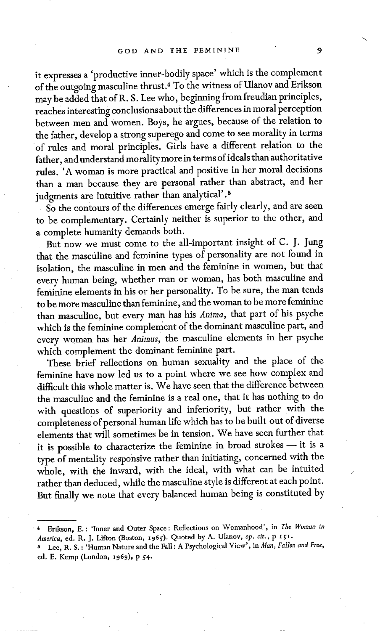it expresses a 'productive inner-bodily space' which is the complement of the outgoing masculine thrust.4 To the witness of Hlanov and Erikson may be added that of R. S. Lee who, beginning from freudian principles, reaches interesting conclusions about the differences in moral perception between men and women. Boys, he argues, because of the relation to the father, develop a strong superego and come to see morality in terms of rules and moral principles. Girls have a different relation to the father, and understand morality more in terms of ideals than authoritative rules. 'A woman is more practical and positive in her moral decisions than a man because they are personal rather than abstract, and her judgments are intuitive rather than analytical'.<sup>5</sup>

So the contours of the differences emerge fairly clearly, and are seen to be complementary. Certainly neither is superior to the other, and a complete humanity demands both.

But now we must come to the all-important insight of C. J. Jung that the masculine and feminine types of personality are not found in isolation, the masculine in men and the feminine in women, but that every human being, whether man or woman, has both masculine and feminine elements in his or her personality. To be sure, the man tends to be more masculine than feminine, and the woman to be more feminine than masculine, but every man has his *Anima,* that part of his psyche which is the feminine complement of the dominant masculine part, and every woman has her *Animus,* the masculine elements in her psyche which complement the dominant feminine part.

These brief reflections on human sexuality and the place of the feminine have now led us to a point where we see how complex and difficult this whole matter is. We have seen that the difference between the masculine and the feminine is a real one, that it has nothing to do with questions of superiority and inferiority, but rather with the completeness' of personal human life which has to be built out of diverse elements that will sometimes be in tension. We have seen further that it is possible to characterize the feminine in broad strokes $-$  it is a type of mentality responsive rather than initiating, concerned with the whole, with the inward, with the ideal, with what can be intuited rather than deduced, while the masculine style is different at each point. But finally we note that every balanced human being is constituted by

<sup>• 4</sup> Erikson, E.: 'Inner and Outer Space: Reflections on Womanhood', in *The Woman in America,* ed. R. J. Lffton (Boston, 1965). Quoted by A. Ulanov, *op. cir., p igl.* 

s Lee, R. S. : 'Human Nature and the Fall : A Psychological View', in *Man, Fallen and Free,*  ed. E. Kemp (London, x969), p 54.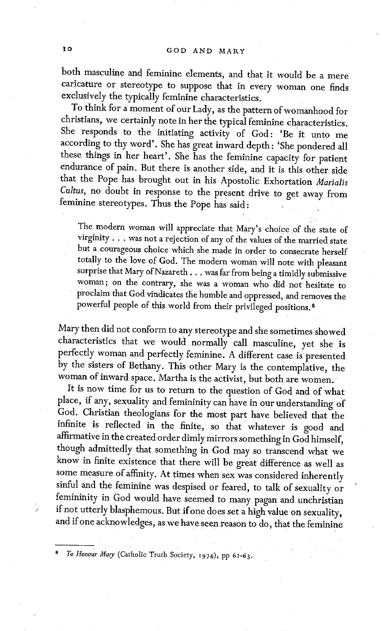both masculine and feminine elements, and that it would be a mere caricature or stereotype to suppose that in every woman one finds exclusively the typically feminine characteristics.

To think for a moment of our Lady, as the pattern of womanhood for christians, we certainly note in her the typical feminine characteristics. She responds to the initiating activity of God: 'Be it unto me according to thy word'. She has great inward depth: 'She pondered all these things in her heart'. She has the feminine capacity for patient endurance of pain. But there is another side, and it is this other side that the Pope has brought out in his Apostolic Exhortation *Marialis Cultus,* no doubt in response to the present drive to get away from feminine stereotypes. Thus the Pope has said:

The modern woman will appreciate that Mary's choice of the state of virginity.., was not a rejection of any of the values of the married state but a courageous choice which she made in order to consecrate herself totally to the love of God. The modern woman will note with pleasant surprise that Mary of Nazareth . . . was far from being a timidly submissive woman; on the contrary, she was a woman who did not hesitate to • proclaim that God vindicates the humble and oppressed, and removes the powerful people of this world from their privileged positions.<sup>6</sup>

Mary then did not conform to any stereotype and she sometimes showed characteristics that we would normally call masculine, yet she is perfectly woman and perfectly feminine. A different case is presented by the sisters of Bethany. This other Mary is the contemplative, the woman of inward space. Martha is the activist, but both are women.

It is now time for us to return to the question of God and of what place, if any, sexuality and femininity can have in our understanding of God. Christian theologians for the most part have believed that the infinite is reflected in the finite, so that whatever is good and affirmative in the created order dimly mirrors something in God himself, though admittedly that something in God may so transcend what we know in finite existence that there will be great difference as well as some measure of affinity. At times when sex was considered inherently sinful and the feminine was despised or feared, to talk of sexuality or femininity in God would have seemed to many pagan and unchristian if not utterly blasphemous. But if one does set a high value on sexuality, and if one acknowledges, as we have seen reason to do, that the feminine

*6 To Honour Mary* (Catholic Truth Society, i974) , pp 62-63.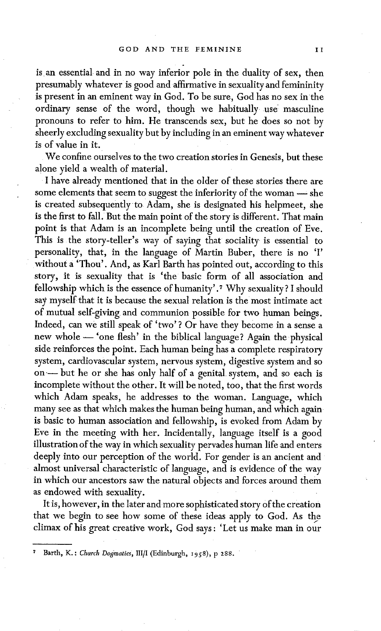is an essential and in no way inferior pole in the duality of sex, then presumably whatever is good and affirmative in sexuality and femininity is present in an eminent way in God. To be sure, God has no sex in the ordinary sense of the word, though we habitually use: masculine pronouns to refer to him, He transcends sex, but he does so not by sheerly excluding sexuality but by including in an eminent way whatever is of value in it.

We confine ourselves to the two creation stories in Genesis, but these alone yield a wealth of material.

I have already mentioned that in the older of these stories there are some elements that seem to suggest the inferiority of the woman - she is created subsequently to Adam, she is designated his helpmeet, she is the first to fall. But the main point of the story is different. That main point is that Adam is an incomplete being until the creation of Eve. This is the story-teller's way of saying that sociality is essential to personality, that, in the language of Martin Buber, there is no 'I' without a 'Thou'. And, as Karl Barth has pointed out, according to this story, it is sexuality that is 'the basic form of all association and fellowship which is the essence of humanity' .7 Why sexuality ? I should say myself that it is because the sexual relation is the most intimate act of mutual self-giving and communion possible for two human beings. Indeed, can we still speak of 'two'? Or have they become in a sense a new whole -- 'one flesh' in the biblical language? Again the physical side reinforces the point. Each human being has a complete respiratory system, cardiovascular system, nervous system, digestive system and so on- but he or she has only half of a genital system, and so each is incomplete without the other. It will be noted, too, that the first words which Adam speaks, he addresses to the woman. Language, which many see as that which makes the human being human, and which again is basic to human association and fellowship, is evoked from Adam by Eve in the meeting with her. Incidentally, language itself is a good illustration of the way in which sexuality pervades human life and enters deeply into our perception of the world. For gender is an ancient and almost universal characteristic of language, and is evidence of the way in which our ancestors saw the natural objects and forces around them as endowed with sexuality.

It is, however, in the later and more sophisticated story of the creation that we begin to see how some of these ideas apply to God. As the climax of his great creative work, God says: 'Let us make man in our

Barth, K.: Church Dogmatics, III/I (Edinburgh, 1958), p 288.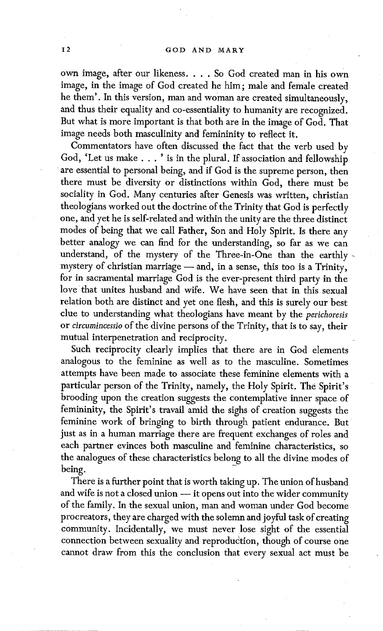own image, after our likeness. . . . So God created man in his own image, in the image of God created he him; male and female created he them'. In this version, man and woman are created simultaneously, and thus their equality and co-essentiality to humanity are recognized. But what is more important is that both are in the image of God. That image needs both masculinity and femininity to reflect it.

Commentators have often discussed the fact that the verb used by God, 'Let us make... ' is in the plural. If association and fellowship are essential to personal being, and if God is the supreme person, then there must be diversity or distinctions within God, there must be sociality in God. Many centuries after Genesis was written, christian theologians worked out the doctrine of the Trinity that God is perfectly one, and yet he is self-related and within the unity are the three distinct modes of being that we call Father, Son and Holy Spirit. Is there any better analogy we can find for the understanding, so far as we can understand, of the mystery of the Three-in-One than the earthlymystery of christian marriage - and, in a sense, this too is a Trinity, for in sacramental marriage God is the ever-present third party in the love that unites husband and wife. We have seen that in this sexual relation both are distinct and yet one flesh, and this is surely our best clue to understanding what theologians have meant by the *perichoresis*  or *circurnincessio* of the divine persons of the Trinity, that is to say, their mutual interpenetration and reciprocity.

Such reciprocity clearly implies that there are in God elements analogous to the feminine as well as to the masculine. Sometimes attempts have been made to associate these feminine elements with a particular person of the Trinity, namely, the Holy Spirit. The Spirit's brooding upon the creation suggests the contemplative inner space of femininity, the Spirit's travail amid the sighs of creation suggests the feminine work of bringing to birth through patient endurance. But just as in a human marriage there are frequent exchanges of roles and each partner evinces both masculine and feminine characteristics, so the analogues of these characteristics belong to all the divine modes of being.

There is a further point that is worth taking up. The union of husband and wife is not a closed union - it opens out into the wider community of the family. In the sexual union, man and woman under God become procreators, they are charged with the solemn and joyful task of creating community. Incidentally, we must never lose sight of the essential connection between sexuality and reproduction, though of course one cannot draw from this the conclusion that every sexual act must be